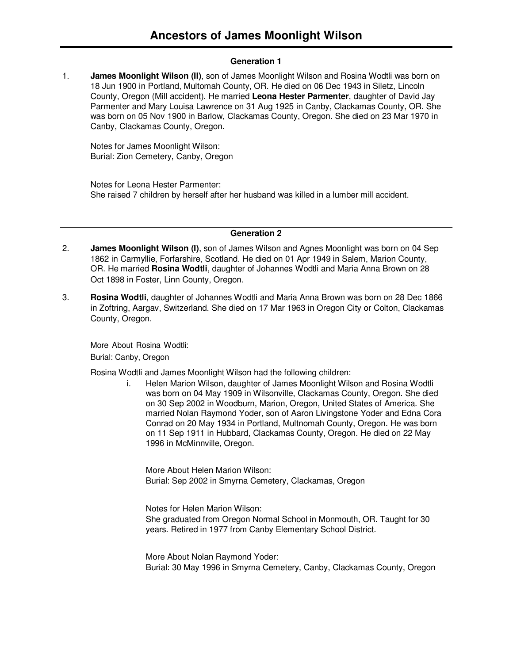### **Generation 1**

1. **James Moonlight Wilson (II)**, son of James Moonlight Wilson and Rosina Wodtli was born on 18 Jun 1900 in Portland, Multomah County, OR. He died on 06 Dec 1943 in Siletz, Lincoln County, Oregon (Mill accident). He married **Leona Hester Parmenter**, daughter of David Jay Parmenter and Mary Louisa Lawrence on 31 Aug 1925 in Canby, Clackamas County, OR. She was born on 05 Nov 1900 in Barlow, Clackamas County, Oregon. She died on 23 Mar 1970 in Canby, Clackamas County, Oregon.

Notes for James Moonlight Wilson: Burial: Zion Cemetery, Canby, Oregon

Notes for Leona Hester Parmenter: She raised 7 children by herself after her husband was killed in a lumber mill accident.

**Generation 2**

- 2. **James Moonlight Wilson (I)**, son of James Wilson and Agnes Moonlight was born on 04 Sep 1862 in Carmyllie, Forfarshire, Scotland. He died on 01 Apr 1949 in Salem, Marion County, OR. He married **Rosina Wodtli**, daughter of Johannes Wodtli and Maria Anna Brown on 28 Oct 1898 in Foster, Linn County, Oregon.
- 3. **Rosina Wodtli**, daughter of Johannes Wodtli and Maria Anna Brown was born on 28 Dec 1866 in Zoftring, Aargav, Switzerland. She died on 17 Mar 1963 in Oregon City or Colton, Clackamas County, Oregon.

More About Rosina Wodtli: Burial: Canby, Oregon

Rosina Wodtli and James Moonlight Wilson had the following children:

i. Helen Marion Wilson, daughter of James Moonlight Wilson and Rosina Wodtli was born on 04 May 1909 in Wilsonville, Clackamas County, Oregon. She died on 30 Sep 2002 in Woodburn, Marion, Oregon, United States of America. She married Nolan Raymond Yoder, son of Aaron Livingstone Yoder and Edna Cora Conrad on 20 May 1934 in Portland, Multnomah County, Oregon. He was born on 11 Sep 1911 in Hubbard, Clackamas County, Oregon. He died on 22 May 1996 in McMinnville, Oregon.

More About Helen Marion Wilson: Burial: Sep 2002 in Smyrna Cemetery, Clackamas, Oregon

Notes for Helen Marion Wilson: She graduated from Oregon Normal School in Monmouth, OR. Taught for 30 years. Retired in 1977 from Canby Elementary School District.

More About Nolan Raymond Yoder: Burial: 30 May 1996 in Smyrna Cemetery, Canby, Clackamas County, Oregon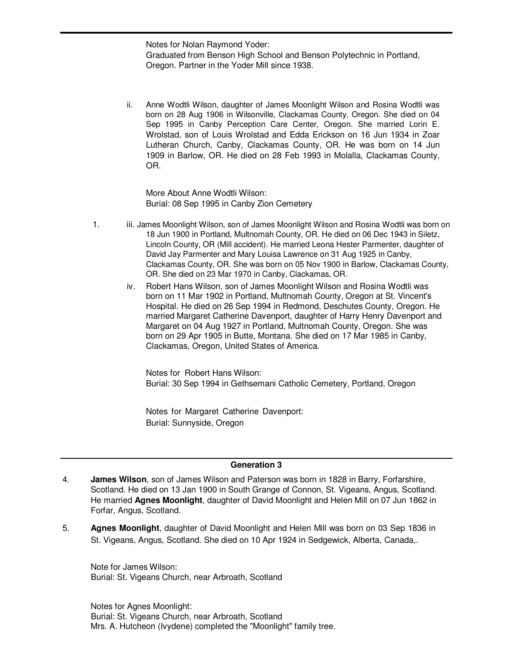Notes for Nolan Raymond Yoder: Graduated from Benson High School and Benson Polytechnic in Portland, Oregon. Partner in the Yoder Mill since 1938.

ii. Anne Wodtli Wilson, daughter of James Moonlight Wilson and Rosina Wodtli was born on 28 Aug 1906 in Wilsonville, Clackamas County, Oregon. She died on 04 Sep 1995 in Canby Perception Care Center, Oregon. She married Lorin E. Wrolstad, son of Louis Wrolstad and Edda Erickson on 16 Jun 1934 in Zoar Lutheran Church, Canby, Clackamas County, OR. He was born on 14 Jun 1909 in Barlow, OR. He died on 28 Feb 1993 in Molalla, Clackamas County, OR.

More About Anne Wodtli Wilson: Burial: 08 Sep 1995 in Canby Zion Cemetery

- 1. iii. James Moonlight Wilson, son of James Moonlight Wilson and Rosina Wodtli was born on 18 Jun 1900 in Portland, Multnomah County, OR. He died on 06 Dec 1943 in Siletz, Lincoln County, OR (Mill accident). He married Leona Hester Parmenter, daughter of David Jay Parmenter and Mary Louisa Lawrence on 31 Aug 1925 in Canby, Clackamas County, OR. She was born on 05 Nov 1900 in Barlow, Clackamas County, OR. She died on 23 Mar 1970 in Canby, Clackamas, OR.
	- iv. Robert Hans Wilson, son of James Moonlight Wilson and Rosina Wodtli was born on 11 Mar 1902 in Portland, Multnomah County, Oregon at St. Vincent's Hospital. He died on 26 Sep 1994 in Redmond, Deschutes County, Oregon. He married Margaret Catherine Davenport, daughter of Harry Henry Davenport and Margaret on 04 Aug 1927 in Portland, Multnomah County, Oregon. She was born on 29 Apr 1905 in Butte, Montana. She died on 17 Mar 1985 in Canby, Clackamas, Oregon, United States of America.

Notes for Robert Hans Wilson: Burial: 30 Sep 1994 in Gethsemani Catholic Cemetery, Portland, Oregon

Notes for Margaret Catherine Davenport: Burial: Sunnyside, Oregon

### **Generation 3**

- 4. **James Wilson**, son of James Wilson and Paterson was born in 1828 in Barry, Forfarshire, Scotland. He died on 13 Jan 1900 in South Grange of Connon, St. Vigeans, Angus, Scotland. He married **Agnes Moonlight**, daughter of David Moonlight and Helen Mill on 07 Jun 1862 in Forfar, Angus, Scotland.
- 5. **Agnes Moonlight**, daughter of David Moonlight and Helen Mill was born on 03 Sep 1836 in St. Vigeans, Angus, Scotland. She died on 10 Apr 1924 in Sedgewick, Alberta, Canada,.

Note for James Wilson: Burial: St. Vigeans Church, near Arbroath, Scotland

Notes for Agnes Moonlight: Burial: St. Vigeans Church, near Arbroath, Scotland Mrs. A. Hutcheon (Ivydene) completed the "Moonlight" family tree.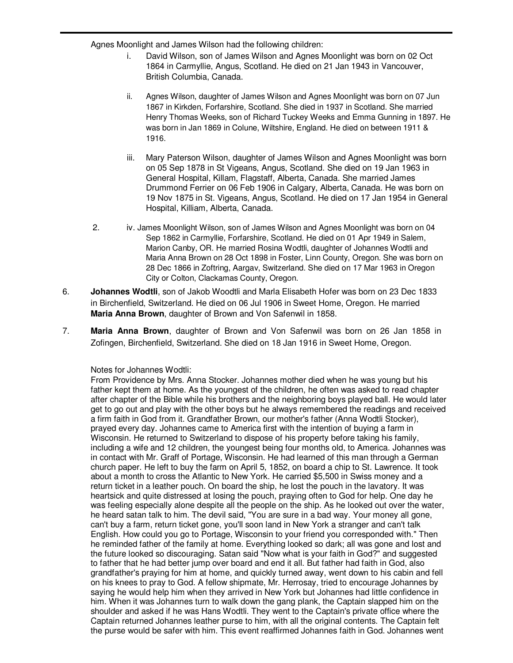Agnes Moonlight and James Wilson had the following children:

- i. David Wilson, son of James Wilson and Agnes Moonlight was born on 02 Oct 1864 in Carmyllie, Angus, Scotland. He died on 21 Jan 1943 in Vancouver, British Columbia, Canada.
- ii. Agnes Wilson, daughter of James Wilson and Agnes Moonlight was born on 07 Jun 1867 in Kirkden, Forfarshire, Scotland. She died in 1937 in Scotland. She married Henry Thomas Weeks, son of Richard Tuckey Weeks and Emma Gunning in 1897. He was born in Jan 1869 in Colune, Wiltshire, England. He died on between 1911 & 1916.
- iii. Mary Paterson Wilson, daughter of James Wilson and Agnes Moonlight was born on 05 Sep 1878 in St Vigeans, Angus, Scotland. She died on 19 Jan 1963 in General Hospital, Killam, Flagstaff, Alberta, Canada. She married James Drummond Ferrier on 06 Feb 1906 in Calgary, Alberta, Canada. He was born on 19 Nov 1875 in St. Vigeans, Angus, Scotland. He died on 17 Jan 1954 in General Hospital, Killiam, Alberta, Canada.
- 2. iv. James Moonlight Wilson, son of James Wilson and Agnes Moonlight was born on 04 Sep 1862 in Carmyllie, Forfarshire, Scotland. He died on 01 Apr 1949 in Salem, Marion Canby, OR. He married Rosina Wodtli, daughter of Johannes Wodtli and Maria Anna Brown on 28 Oct 1898 in Foster, Linn County, Oregon. She was born on 28 Dec 1866 in Zoftring, Aargav, Switzerland. She died on 17 Mar 1963 in Oregon City or Colton, Clackamas County, Oregon.
- 6. **Johannes Wodtli**, son of Jakob Woodtli and Marla Elisabeth Hofer was born on 23 Dec 1833 in Birchenfield, Switzerland. He died on 06 Jul 1906 in Sweet Home, Oregon. He married **Maria Anna Brown**, daughter of Brown and Von Safenwil in 1858.
- 7. **Maria Anna Brown**, daughter of Brown and Von Safenwil was born on 26 Jan 1858 in Zofingen, Birchenfield, Switzerland. She died on 18 Jan 1916 in Sweet Home, Oregon.

# Notes for Johannes Wodtli:

From Providence by Mrs. Anna Stocker. Johannes mother died when he was young but his father kept them at home. As the youngest of the children, he often was asked to read chapter after chapter of the Bible while his brothers and the neighboring boys played ball. He would later get to go out and play with the other boys but he always remembered the readings and received a firm faith in God from it. Grandfather Brown, our mother's father (Anna Wodtli Stocker), prayed every day. Johannes came to America first with the intention of buying a farm in Wisconsin. He returned to Switzerland to dispose of his property before taking his family, including a wife and 12 children, the youngest being four months old, to America. Johannes was in contact with Mr. Graff of Portage, Wisconsin. He had learned of this man through a German church paper. He left to buy the farm on April 5, 1852, on board a chip to St. Lawrence. It took about a month to cross the Atlantic to New York. He carried \$5,500 in Swiss money and a return ticket in a leather pouch. On board the ship, he lost the pouch in the lavatory. It was heartsick and quite distressed at losing the pouch, praying often to God for help. One day he was feeling especially alone despite all the people on the ship. As he looked out over the water, he heard satan talk to him. The devil said, "You are sure in a bad way. Your money all gone, can't buy a farm, return ticket gone, you'll soon land in New York a stranger and can't talk English. How could you go to Portage, Wisconsin to your friend you corresponded with." Then he reminded father of the family at home. Everything looked so dark; all was gone and lost and the future looked so discouraging. Satan said "Now what is your faith in God?" and suggested to father that he had better jump over board and end it all. But father had faith in God, also grandfather's praying for him at home, and quickly turned away, went down to his cabin and fell on his knees to pray to God. A fellow shipmate, Mr. Herrosay, tried to encourage Johannes by saying he would help him when they arrived in New York but Johannes had little confidence in him. When it was Johannes turn to walk down the gang plank, the Captain slapped him on the shoulder and asked if he was Hans Wodtli. They went to the Captain's private office where the Captain returned Johannes leather purse to him, with all the original contents. The Captain felt the purse would be safer with him. This event reaffirmed Johannes faith in God. Johannes went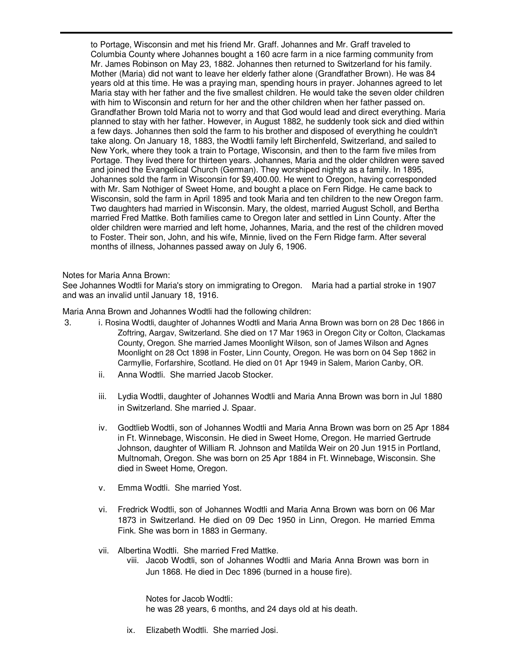to Portage, Wisconsin and met his friend Mr. Graff. Johannes and Mr. Graff traveled to Columbia County where Johannes bought a 160 acre farm in a nice farming community from Mr. James Robinson on May 23, 1882. Johannes then returned to Switzerland for his family. Mother (Maria) did not want to leave her elderly father alone (Grandfather Brown). He was 84 years old at this time. He was a praying man, spending hours in prayer. Johannes agreed to let Maria stay with her father and the five smallest children. He would take the seven older children with him to Wisconsin and return for her and the other children when her father passed on. Grandfather Brown told Maria not to worry and that God would lead and direct everything. Maria planned to stay with her father. However, in August 1882, he suddenly took sick and died within a few days. Johannes then sold the farm to his brother and disposed of everything he couldn't take along. On January 18, 1883, the Wodtli family left Birchenfeld, Switzerland, and sailed to New York, where they took a train to Portage, Wisconsin, and then to the farm five miles from Portage. They lived there for thirteen years. Johannes, Maria and the older children were saved and joined the Evangelical Church (German). They worshiped nightly as a family. In 1895, Johannes sold the farm in Wisconsin for \$9,400.00. He went to Oregon, having corresponded with Mr. Sam Nothiger of Sweet Home, and bought a place on Fern Ridge. He came back to Wisconsin, sold the farm in April 1895 and took Maria and ten children to the new Oregon farm. Two daughters had married in Wisconsin. Mary, the oldest, married August Scholl, and Bertha married Fred Mattke. Both families came to Oregon later and settled in Linn County. After the older children were married and left home, Johannes, Maria, and the rest of the children moved to Foster. Their son, John, and his wife, Minnie, lived on the Fern Ridge farm. After several months of illness, Johannes passed away on July 6, 1906.

#### Notes for Maria Anna Brown:

See Johannes Wodtli for Maria's story on immigrating to Oregon. Maria had a partial stroke in 1907 and was an invalid until January 18, 1916.

Maria Anna Brown and Johannes Wodtli had the following children:

- 3. i. Rosina Wodtli, daughter of Johannes Wodtli and Maria Anna Brown was born on 28 Dec 1866 in Zoftring, Aargav, Switzerland. She died on 17 Mar 1963 in Oregon City or Colton, Clackamas County, Oregon. She married James Moonlight Wilson, son of James Wilson and Agnes Moonlight on 28 Oct 1898 in Foster, Linn County, Oregon. He was born on 04 Sep 1862 in Carmyllie, Forfarshire, Scotland. He died on 01 Apr 1949 in Salem, Marion Canby, OR.
	- ii. Anna Wodtli. She married Jacob Stocker.
	- iii. Lydia Wodtli, daughter of Johannes Wodtli and Maria Anna Brown was born in Jul 1880 in Switzerland. She married J. Spaar.
	- iv. Godtlieb Wodtli, son of Johannes Wodtli and Maria Anna Brown was born on 25 Apr 1884 in Ft. Winnebage, Wisconsin. He died in Sweet Home, Oregon. He married Gertrude Johnson, daughter of William R. Johnson and Matilda Weir on 20 Jun 1915 in Portland, Multnomah, Oregon. She was born on 25 Apr 1884 in Ft. Winnebage, Wisconsin. She died in Sweet Home, Oregon.
	- v. Emma Wodtli. She married Yost.
	- vi. Fredrick Wodtli, son of Johannes Wodtli and Maria Anna Brown was born on 06 Mar 1873 in Switzerland. He died on 09 Dec 1950 in Linn, Oregon. He married Emma Fink. She was born in 1883 in Germany.
	- vii. Albertina Wodtli. She married Fred Mattke.
		- viii. Jacob Wodtli, son of Johannes Wodtli and Maria Anna Brown was born in Jun 1868. He died in Dec 1896 (burned in a house fire).

Notes for Jacob Wodtli: he was 28 years, 6 months, and 24 days old at his death.

ix. Elizabeth Wodtli. She married Josi.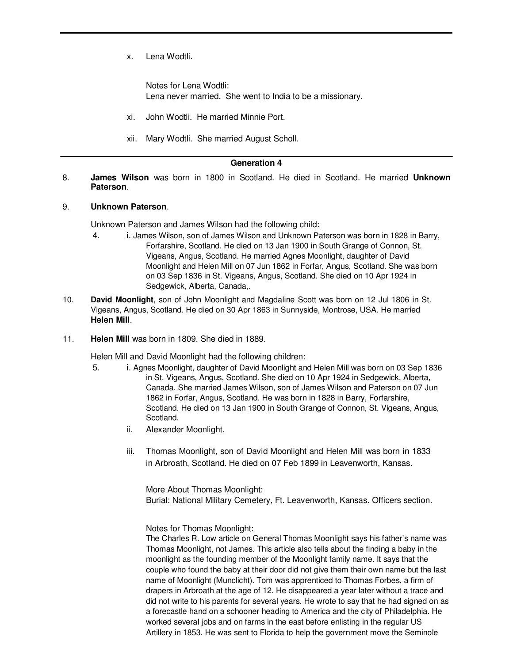x. Lena Wodtli.

Notes for Lena Wodtli: Lena never married. She went to India to be a missionary.

- xi. John Wodtli. He married Minnie Port.
- xii. Mary Wodtli. She married August Scholl.

### **Generation 4**

8. **James Wilson** was born in 1800 in Scotland. He died in Scotland. He married **Unknown Paterson**.

### 9. **Unknown Paterson**.

Unknown Paterson and James Wilson had the following child:

- 4. i. James Wilson, son of James Wilson and Unknown Paterson was born in 1828 in Barry, Forfarshire, Scotland. He died on 13 Jan 1900 in South Grange of Connon, St. Vigeans, Angus, Scotland. He married Agnes Moonlight, daughter of David Moonlight and Helen Mill on 07 Jun 1862 in Forfar, Angus, Scotland. She was born on 03 Sep 1836 in St. Vigeans, Angus, Scotland. She died on 10 Apr 1924 in Sedgewick, Alberta, Canada,.
- 10. **David Moonlight**, son of John Moonlight and Magdaline Scott was born on 12 Jul 1806 in St. Vigeans, Angus, Scotland. He died on 30 Apr 1863 in Sunnyside, Montrose, USA. He married **Helen Mill**.
- 11. **Helen Mill** was born in 1809. She died in 1889.

Helen Mill and David Moonlight had the following children:

- 5. i. Agnes Moonlight, daughter of David Moonlight and Helen Mill was born on 03 Sep 1836 in St. Vigeans, Angus, Scotland. She died on 10 Apr 1924 in Sedgewick, Alberta, Canada. She married James Wilson, son of James Wilson and Paterson on 07 Jun 1862 in Forfar, Angus, Scotland. He was born in 1828 in Barry, Forfarshire, Scotland. He died on 13 Jan 1900 in South Grange of Connon, St. Vigeans, Angus, Scotland.
	- ii. Alexander Moonlight.
	- iii. Thomas Moonlight, son of David Moonlight and Helen Mill was born in 1833 in Arbroath, Scotland. He died on 07 Feb 1899 in Leavenworth, Kansas.

More About Thomas Moonlight: Burial: National Military Cemetery, Ft. Leavenworth, Kansas. Officers section.

Notes for Thomas Moonlight:

The Charles R. Low article on General Thomas Moonlight says his father's name was Thomas Moonlight, not James. This article also tells about the finding a baby in the moonlight as the founding member of the Moonlight family name. It says that the couple who found the baby at their door did not give them their own name but the last name of Moonlight (Munclicht). Tom was apprenticed to Thomas Forbes, a firm of drapers in Arbroath at the age of 12. He disappeared a year later without a trace and did not write to his parents for several years. He wrote to say that he had signed on as a forecastle hand on a schooner heading to America and the city of Philadelphia. He worked several jobs and on farms in the east before enlisting in the regular US Artillery in 1853. He was sent to Florida to help the government move the Seminole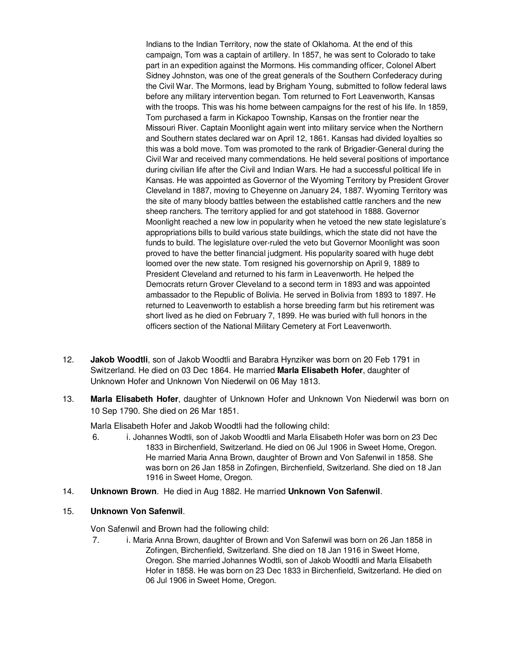Indians to the Indian Territory, now the state of Oklahoma. At the end of this campaign, Tom was a captain of artillery. In 1857, he was sent to Colorado to take part in an expedition against the Mormons. His commanding officer, Colonel Albert Sidney Johnston, was one of the great generals of the Southern Confederacy during the Civil War. The Mormons, lead by Brigham Young, submitted to follow federal laws before any military intervention began. Tom returned to Fort Leavenworth, Kansas with the troops. This was his home between campaigns for the rest of his life. In 1859, Tom purchased a farm in Kickapoo Township, Kansas on the frontier near the Missouri River. Captain Moonlight again went into military service when the Northern and Southern states declared war on April 12, 1861. Kansas had divided loyalties so this was a bold move. Tom was promoted to the rank of Brigadier-General during the Civil War and received many commendations. He held several positions of importance during civilian life after the Civil and Indian Wars. He had a successful political life in Kansas. He was appointed as Governor of the Wyoming Territory by President Grover Cleveland in 1887, moving to Cheyenne on January 24, 1887. Wyoming Territory was the site of many bloody battles between the established cattle ranchers and the new sheep ranchers. The territory applied for and got statehood in 1888. Governor Moonlight reached a new low in popularity when he vetoed the new state legislature's appropriations bills to build various state buildings, which the state did not have the funds to build. The legislature over-ruled the veto but Governor Moonlight was soon proved to have the better financial judgment. His popularity soared with huge debt loomed over the new state. Tom resigned his governorship on April 9, 1889 to President Cleveland and returned to his farm in Leavenworth. He helped the Democrats return Grover Cleveland to a second term in 1893 and was appointed ambassador to the Republic of Bolivia. He served in Bolivia from 1893 to 1897. He returned to Leavenworth to establish a horse breeding farm but his retirement was short lived as he died on February 7, 1899. He was buried with full honors in the officers section of the National Military Cemetery at Fort Leavenworth.

- 12. **Jakob Woodtli**, son of Jakob Woodtli and Barabra Hynziker was born on 20 Feb 1791 in Switzerland. He died on 03 Dec 1864. He married **Marla Elisabeth Hofer**, daughter of Unknown Hofer and Unknown Von Niederwil on 06 May 1813.
- 13. **Marla Elisabeth Hofer**, daughter of Unknown Hofer and Unknown Von Niederwil was born on 10 Sep 1790. She died on 26 Mar 1851.

Marla Elisabeth Hofer and Jakob Woodtli had the following child:

- 6. i. Johannes Wodtli, son of Jakob Woodtli and Marla Elisabeth Hofer was born on 23 Dec 1833 in Birchenfield, Switzerland. He died on 06 Jul 1906 in Sweet Home, Oregon. He married Maria Anna Brown, daughter of Brown and Von Safenwil in 1858. She was born on 26 Jan 1858 in Zofingen, Birchenfield, Switzerland. She died on 18 Jan 1916 in Sweet Home, Oregon.
- 14. **Unknown Brown**. He died in Aug 1882. He married **Unknown Von Safenwil**.

### 15. **Unknown Von Safenwil**.

Von Safenwil and Brown had the following child:

7. i. Maria Anna Brown, daughter of Brown and Von Safenwil was born on 26 Jan 1858 in Zofingen, Birchenfield, Switzerland. She died on 18 Jan 1916 in Sweet Home, Oregon. She married Johannes Wodtli, son of Jakob Woodtli and Marla Elisabeth Hofer in 1858. He was born on 23 Dec 1833 in Birchenfield, Switzerland. He died on 06 Jul 1906 in Sweet Home, Oregon.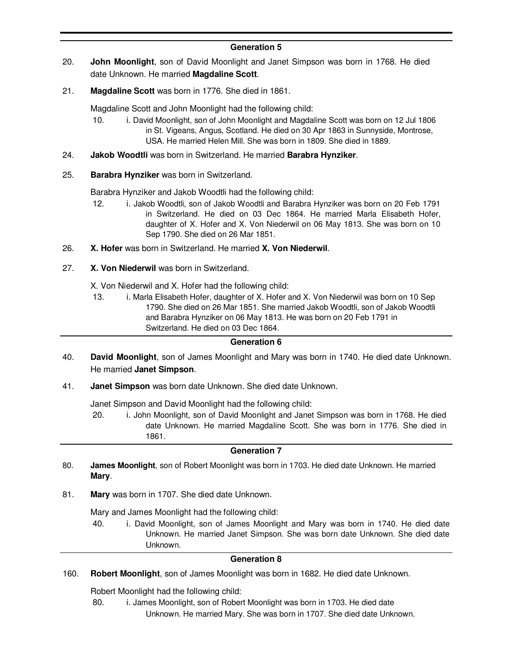## **Generation 5**

- 20. **John Moonlight**, son of David Moonlight and Janet Simpson was born in 1768. He died date Unknown. He married **Magdaline Scott**.
- 21. **Magdaline Scott** was born in 1776. She died in 1861.

Magdaline Scott and John Moonlight had the following child:

- 10. i. David Moonlight, son of John Moonlight and Magdaline Scott was born on 12 Jul 1806 in St. Vigeans, Angus, Scotland. He died on 30 Apr 1863 in Sunnyside, Montrose, USA. He married Helen Mill. She was born in 1809. She died in 1889.
- 24. **Jakob Woodtli** was born in Switzerland. He married **Barabra Hynziker**.
- 25. **Barabra Hynziker** was born in Switzerland.

Barabra Hynziker and Jakob Woodtli had the following child:

- 12. i. Jakob Woodtli, son of Jakob Woodtli and Barabra Hynziker was born on 20 Feb 1791 in Switzerland. He died on 03 Dec 1864. He married Marla Elisabeth Hofer, daughter of X. Hofer and X. Von Niederwil on 06 May 1813. She was born on 10 Sep 1790. She died on 26 Mar 1851.
- 26. **X. Hofer** was born in Switzerland. He married **X. Von Niederwil**.
- 27. **X. Von Niederwil** was born in Switzerland.

X. Von Niederwil and X. Hofer had the following child:

13. i. Marla Elisabeth Hofer, daughter of X. Hofer and X. Von Niederwil was born on 10 Sep 1790. She died on 26 Mar 1851. She married Jakob Woodtli, son of Jakob Woodtli and Barabra Hynziker on 06 May 1813. He was born on 20 Feb 1791 in Switzerland. He died on 03 Dec 1864.

# **Generation 6**

- 40. **David Moonlight**, son of James Moonlight and Mary was born in 1740. He died date Unknown. He married **Janet Simpson**.
- 41. **Janet Simpson** was born date Unknown. She died date Unknown.

Janet Simpson and David Moonlight had the following child:

20. i. John Moonlight, son of David Moonlight and Janet Simpson was born in 1768. He died date Unknown. He married Magdaline Scott. She was born in 1776. She died in 1861.

# **Generation 7**

- 80. **James Moonlight**, son of Robert Moonlight was born in 1703. He died date Unknown. He married **Mary**.
- 81. **Mary** was born in 1707. She died date Unknown.

Mary and James Moonlight had the following child:

40. i. David Moonlight, son of James Moonlight and Mary was born in 1740. He died date Unknown. He married Janet Simpson. She was born date Unknown. She died date Unknown.

# **Generation 8**

160. **Robert Moonlight**, son of James Moonlight was born in 1682. He died date Unknown.

Robert Moonlight had the following child:

80. i. James Moonlight, son of Robert Moonlight was born in 1703. He died date Unknown. He married Mary. She was born in 1707. She died date Unknown.